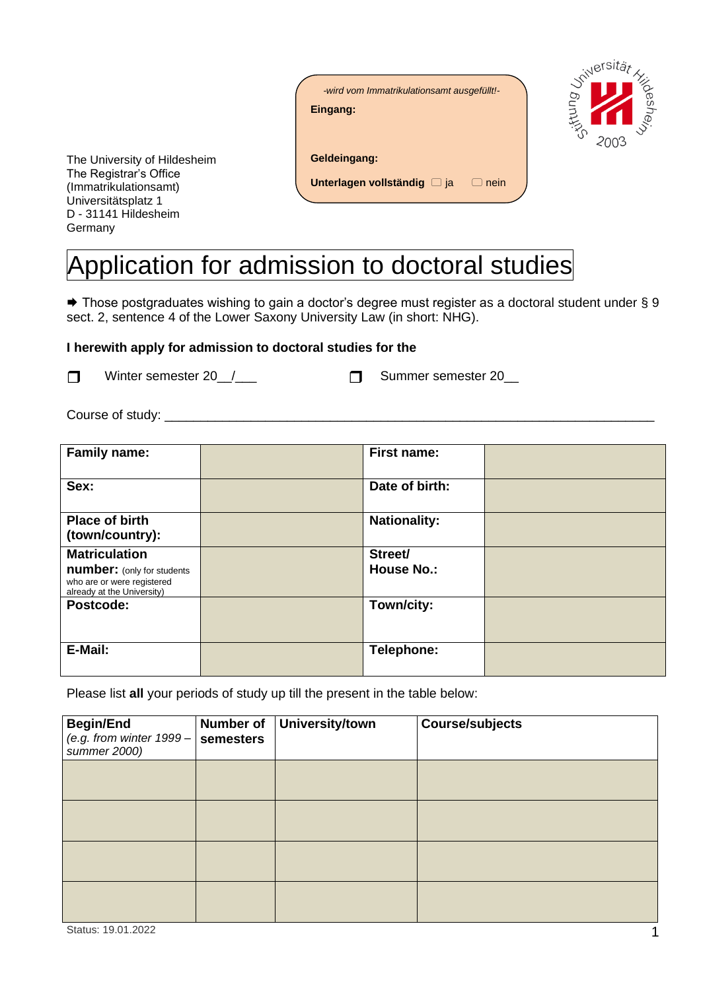| -wird vom Immatrikulationsamt ausgefüllt!-<br>Eingang: |  |
|--------------------------------------------------------|--|
| Geldeingang:                                           |  |
| Unterlagen vollständig [3] ja<br>nein                  |  |

<sub>J</sub>ersitä<sub>l</sub>

2003



## Application for admission to doctoral studies

**→** Those postgraduates wishing to gain a doctor's degree must register as a doctoral student under § 9 sect. 2, sentence 4 of the Lower Saxony University Law (in short: NHG).

## **I herewith apply for admission to doctoral studies for the**

Winter semester 20 / Communication Communication Summer semester 20

Course of study: \_\_\_\_\_\_\_\_\_\_\_\_\_\_\_\_\_\_\_\_\_\_\_\_\_\_\_\_\_\_\_\_\_\_\_\_\_\_\_\_\_\_\_\_\_\_\_\_\_\_\_\_\_\_\_\_\_\_\_\_\_\_\_\_\_\_\_\_

| Family name:                                                                                  | <b>First name:</b>  |  |
|-----------------------------------------------------------------------------------------------|---------------------|--|
| Sex:                                                                                          | Date of birth:      |  |
| <b>Place of birth</b><br>(town/country):                                                      | <b>Nationality:</b> |  |
| <b>Matriculation</b>                                                                          | Street/             |  |
| <b>number:</b> (only for students<br>who are or were registered<br>already at the University) | <b>House No.:</b>   |  |
| Postcode:                                                                                     | Town/city:          |  |
| E-Mail:                                                                                       | Telephone:          |  |

Please list **all** your periods of study up till the present in the table below:

| <b>Begin/End</b><br>(e.g. from winter $1999 -$<br>summer 2000) | Number of<br>semesters | <b>University/town</b> | <b>Course/subjects</b> |
|----------------------------------------------------------------|------------------------|------------------------|------------------------|
|                                                                |                        |                        |                        |
|                                                                |                        |                        |                        |
|                                                                |                        |                        |                        |
|                                                                |                        |                        |                        |